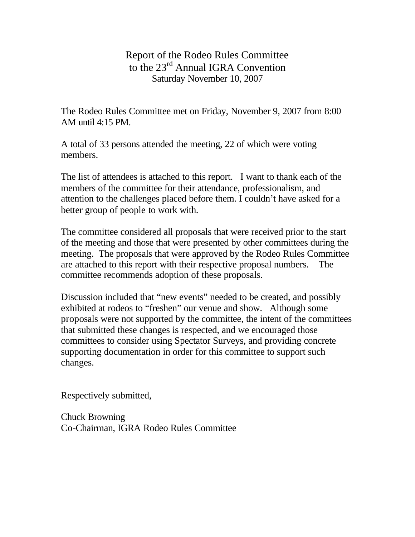Report of the Rodeo Rules Committee to the 23<sup>rd</sup> Annual IGRA Convention Saturday November 10, 2007

The Rodeo Rules Committee met on Friday, November 9, 2007 from 8:00 AM until 4:15 PM.

A total of 33 persons attended the meeting, 22 of which were voting members.

The list of attendees is attached to this report. I want to thank each of the members of the committee for their attendance, professionalism, and attention to the challenges placed before them. I couldn't have asked for a better group of people to work with.

The committee considered all proposals that were received prior to the start of the meeting and those that were presented by other committees during the meeting. The proposals that were approved by the Rodeo Rules Committee are attached to this report with their respective proposal numbers. The committee recommends adoption of these proposals.

Discussion included that "new events" needed to be created, and possibly exhibited at rodeos to "freshen" our venue and show. Although some proposals were not supported by the committee, the intent of the committees that submitted these changes is respected, and we encouraged those committees to consider using Spectator Surveys, and providing concrete supporting documentation in order for this committee to support such changes.

Respectively submitted,

Chuck Browning Co-Chairman, IGRA Rodeo Rules Committee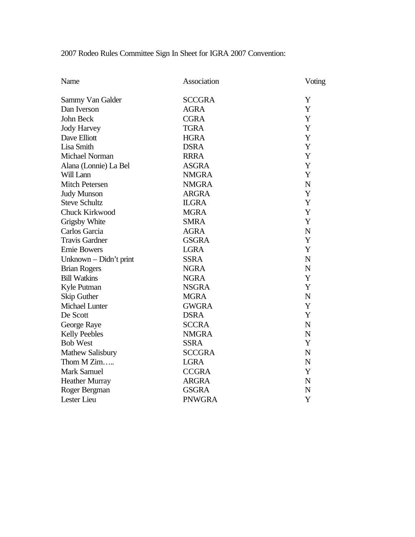# 2007 Rodeo Rules Committee Sign In Sheet for IGRA 2007 Convention:

| Name                    | Association   | Voting      |
|-------------------------|---------------|-------------|
| Sammy Van Galder        | <b>SCCGRA</b> | Y           |
| Dan Iverson             | <b>AGRA</b>   | Y           |
| John Beck               | <b>CGRA</b>   | Y           |
| <b>Jody Harvey</b>      | <b>TGRA</b>   | Y           |
| Dave Elliott            | <b>HGRA</b>   | Y           |
| Lisa Smith              | <b>DSRA</b>   | Y           |
| <b>Michael Norman</b>   | <b>RRRA</b>   | Y           |
| Alana (Lonnie) La Bel   | <b>ASGRA</b>  | Y           |
| Will Lann               | <b>NMGRA</b>  | Y           |
| <b>Mitch Petersen</b>   | <b>NMGRA</b>  | N           |
| <b>Judy Munson</b>      | <b>ARGRA</b>  | Y           |
| <b>Steve Schultz</b>    | <b>ILGRA</b>  | Y           |
| Chuck Kirkwood          | <b>MGRA</b>   | Y           |
| Grigsby White           | <b>SMRA</b>   | Y           |
| Carlos Garcia           | <b>AGRA</b>   | $\mathbf N$ |
| <b>Travis Gardner</b>   | <b>GSGRA</b>  | Y           |
| <b>Ernie Bowers</b>     | <b>LGRA</b>   | Y           |
| Unknown - Didn't print  | <b>SSRA</b>   | N           |
| <b>Brian Rogers</b>     | <b>NGRA</b>   | $\mathbf N$ |
| <b>Bill Watkins</b>     | <b>NGRA</b>   | Y           |
| Kyle Putman             | <b>NSGRA</b>  | Y           |
| Skip Guther             | <b>MGRA</b>   | $\mathbf N$ |
| Michael Lunter          | <b>GWGRA</b>  | Y           |
| De Scott                | <b>DSRA</b>   | Y           |
| George Raye             | <b>SCCRA</b>  | N           |
| <b>Kelly Peebles</b>    | <b>NMGRA</b>  | N           |
| <b>Bob West</b>         | <b>SSRA</b>   | Y           |
| <b>Mathew Salisbury</b> | <b>SCCGRA</b> | N           |
| Thom $M Zim$            | <b>LGRA</b>   | N           |
| <b>Mark Samuel</b>      | <b>CCGRA</b>  | Y           |
| <b>Heather Murray</b>   | <b>ARGRA</b>  | N           |
| Roger Bergman           | <b>GSGRA</b>  | N           |
| Lester Lieu             | <b>PNWGRA</b> | Y           |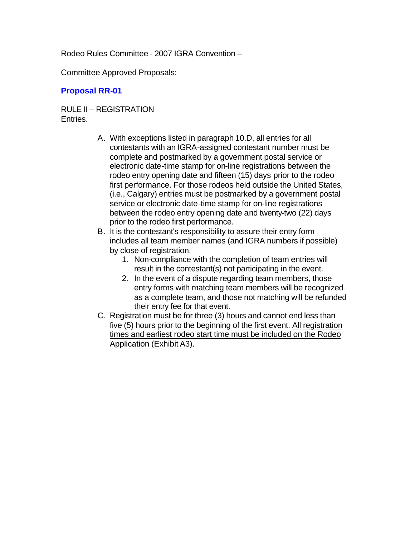Rodeo Rules Committee - 2007 IGRA Convention –

Committee Approved Proposals:

# **Proposal RR-01**

RULE II – REGISTRATION Entries.

- A. With exceptions listed in paragraph 10.D, all entries for all contestants with an IGRA-assigned contestant number must be complete and postmarked by a government postal service or electronic date-time stamp for on-line registrations between the rodeo entry opening date and fifteen (15) days prior to the rodeo first performance. For those rodeos held outside the United States, (i.e., Calgary) entries must be postmarked by a government postal service or electronic date-time stamp for on-line registrations between the rodeo entry opening date and twenty-two (22) days prior to the rodeo first performance.
- B. It is the contestant's responsibility to assure their entry form includes all team member names (and IGRA numbers if possible) by close of registration.
	- 1. Non-compliance with the completion of team entries will result in the contestant(s) not participating in the event.
	- 2. In the event of a dispute regarding team members, those entry forms with matching team members will be recognized as a complete team, and those not matching will be refunded their entry fee for that event.
- C. Registration must be for three (3) hours and cannot end less than five (5) hours prior to the beginning of the first event. All registration times and earliest rodeo start time must be included on the Rodeo Application (Exhibit A3).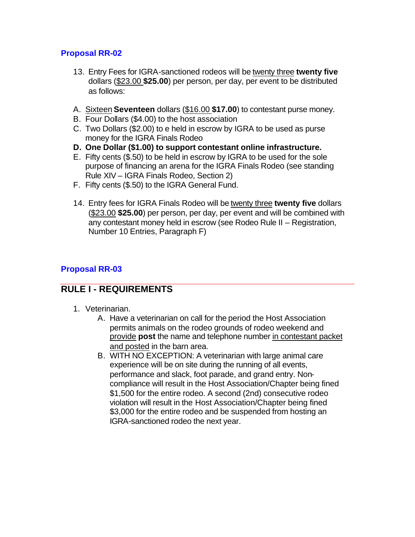### **Proposal RR-02**

- 13. Entry Fees for IGRA-sanctioned rodeos will be twenty three **twenty five** dollars (\$23.00 **\$25.00**) per person, per day, per event to be distributed as follows:
- A. Sixteen **Seventeen** dollars (\$16.00 **\$17.00**) to contestant purse money.
- B. Four Dollars (\$4.00) to the host association
- C. Two Dollars (\$2.00) to e held in escrow by IGRA to be used as purse money for the IGRA Finals Rodeo
- **D. One Dollar (\$1.00) to support contestant online infrastructure.**
- E. Fifty cents (\$.50) to be held in escrow by IGRA to be used for the sole purpose of financing an arena for the IGRA Finals Rodeo (see standing Rule XIV – IGRA Finals Rodeo, Section 2)
- F. Fifty cents (\$.50) to the IGRA General Fund.
- 14. Entry fees for IGRA Finals Rodeo will be twenty three **twenty five** dollars (\$23.00 **\$25.00**) per person, per day, per event and will be combined with any contestant money held in escrow (see Rodeo Rule II – Registration, Number 10 Entries, Paragraph F)

# **Proposal RR-03**

# **RULE I - REQUIREMENTS**

- 1. Veterinarian.
	- A. Have a veterinarian on call for the period the Host Association permits animals on the rodeo grounds of rodeo weekend and provide **post** the name and telephone number in contestant packet and posted in the barn area.
	- B. WITH NO EXCEPTION: A veterinarian with large animal care experience will be on site during the running of all events, performance and slack, foot parade, and grand entry. Noncompliance will result in the Host Association/Chapter being fined \$1,500 for the entire rodeo. A second (2nd) consecutive rodeo violation will result in the Host Association/Chapter being fined \$3,000 for the entire rodeo and be suspended from hosting an IGRA-sanctioned rodeo the next year.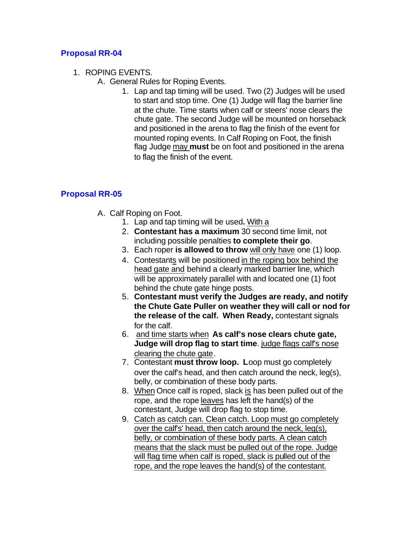### **Proposal RR-04**

- 1. ROPING EVENTS.
	- A. General Rules for Roping Events.
		- 1. Lap and tap timing will be used. Two (2) Judges will be used to start and stop time. One (1) Judge will flag the barrier line at the chute. Time starts when calf or steers' nose clears the chute gate. The second Judge will be mounted on horseback and positioned in the arena to flag the finish of the event for mounted roping events. In Calf Roping on Foot, the finish flag Judge may **must** be on foot and positioned in the arena to flag the finish of the event.

# **Proposal RR-05**

- A. Calf Roping on Foot.
	- 1. Lap and tap timing will be used**.** With a
	- 2. **Contestant has a maximum** 30 second time limit, not including possible penalties **to complete their go**.
	- 3. Each roper **is allowed to throw** will only have one (1) loop.
	- 4. Contestants will be positioned in the roping box behind the head gate and behind a clearly marked barrier line, which will be approximately parallel with and located one (1) foot behind the chute gate hinge posts.
	- 5. **Contestant must verify the Judges are ready, and notify the Chute Gate Puller on weather they will call or nod for the release of the calf. When Ready,** contestant signals for the calf.
	- 6. and time starts when **As calf's nose clears chute gate, Judge will drop flag to start time**. judge flags calf's nose clearing the chute gate.
	- 7. Contestant **must throw loop. L**oop must go completely over the calf's head, and then catch around the neck, leg(s), belly, or combination of these body parts.
	- 8. When Once calf is roped, slack is has been pulled out of the rope, and the rope leaves has left the hand(s) of the contestant, Judge will drop flag to stop time.
	- 9. Catch as catch can. Clean catch. Loop must go completely over the calf's' head, then catch around the neck, leg(s), belly, or combination of these body parts. A clean catch means that the slack must be pulled out of the rope. Judge will flag time when calf is roped, slack is pulled out of the rope, and the rope leaves the hand(s) of the contestant.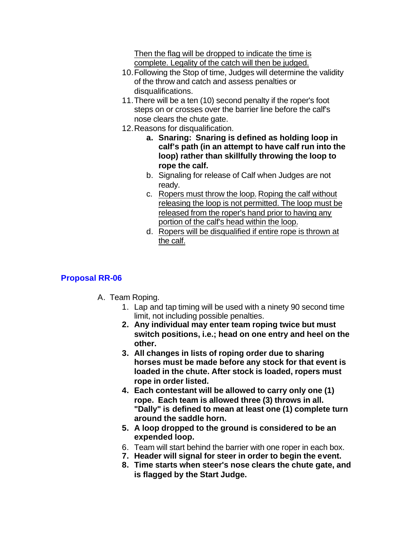Then the flag will be dropped to indicate the time is complete. Legality of the catch will then be judged.

- 10.Following the Stop of time, Judges will determine the validity of the throw and catch and assess penalties or disqualifications.
- 11.There will be a ten (10) second penalty if the roper's foot steps on or crosses over the barrier line before the calf's nose clears the chute gate.
- 12.Reasons for disqualification.
	- **a. Snaring: Snaring is defined as holding loop in calf's path (in an attempt to have calf run into the loop) rather than skillfully throwing the loop to rope the calf.**
	- b. Signaling for release of Calf when Judges are not ready.
	- c. Ropers must throw the loop. Roping the calf without releasing the loop is not permitted. The loop must be released from the roper's hand prior to having any portion of the calf's head within the loop.
	- d. Ropers will be disqualified if entire rope is thrown at the calf.

### **Proposal RR-06**

- A. Team Roping.
	- 1. Lap and tap timing will be used with a ninety 90 second time limit, not including possible penalties.
	- **2. Any individual may enter team roping twice but must switch positions, i.e.; head on one entry and heel on the other.**
	- **3. All changes in lists of roping order due to sharing horses must be made before any stock for that event is loaded in the chute. After stock is loaded, ropers must rope in order listed.**
	- **4. Each contestant will be allowed to carry only one (1) rope. Each team is allowed three (3) throws in all. "Dally" is defined to mean at least one (1) complete turn around the saddle horn.**
	- **5. A loop dropped to the ground is considered to be an expended loop.**
	- 6. Team will start behind the barrier with one roper in each box.
	- **7. Header will signal for steer in order to begin the event.**
	- **8. Time starts when steer's nose clears the chute gate, and is flagged by the Start Judge.**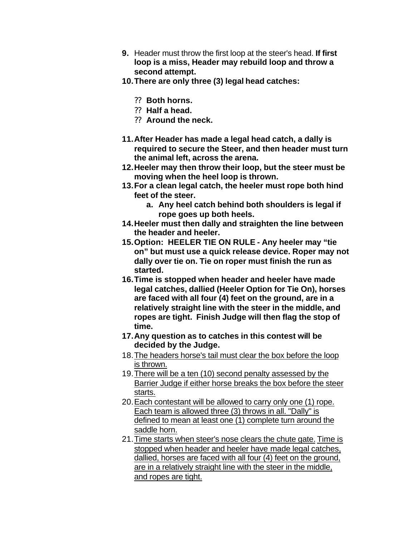- **9.** Header must throw the first loop at the steer's head. **If first loop is a miss, Header may rebuild loop and throw a second attempt.**
- **10.There are only three (3) legal head catches:**
	- ?? **Both horns.**
	- ?? **Half a head.**
	- ?? **Around the neck.**
- **11.After Header has made a legal head catch, a dally is required to secure the Steer, and then header must turn the animal left, across the arena.**
- **12.Heeler may then throw their loop, but the steer must be moving when the heel loop is thrown.**
- **13.For a clean legal catch, the heeler must rope both hind feet of the steer.**
	- **a. Any heel catch behind both shoulders is legal if rope goes up both heels.**
- **14.Heeler must then dally and straighten the line between the header and heeler.**
- **15.Option: HEELER TIE ON RULE Any heeler may "tie on" but must use a quick release device. Roper may not dally over tie on. Tie on roper must finish the run as started.**
- **16.Time is stopped when header and heeler have made legal catches, dallied (Heeler Option for Tie On), horses are faced with all four (4) feet on the ground, are in a relatively straight line with the steer in the middle, and ropes are tight. Finish Judge will then flag the stop of time.**
- **17.Any question as to catches in this contest will be decided by the Judge.**
- 18.The headers horse's tail must clear the box before the loop is thrown.
- 19.There will be a ten (10) second penalty assessed by the Barrier Judge if either horse breaks the box before the steer starts.
- 20.Each contestant will be allowed to carry only one (1) rope. Each team is allowed three (3) throws in all. "Dally" is defined to mean at least one (1) complete turn around the saddle horn.
- 21.Time starts when steer's nose clears the chute gate. Time is stopped when header and heeler have made legal catches, dallied, horses are faced with all four (4) feet on the ground, are in a relatively straight line with the steer in the middle, and ropes are tight.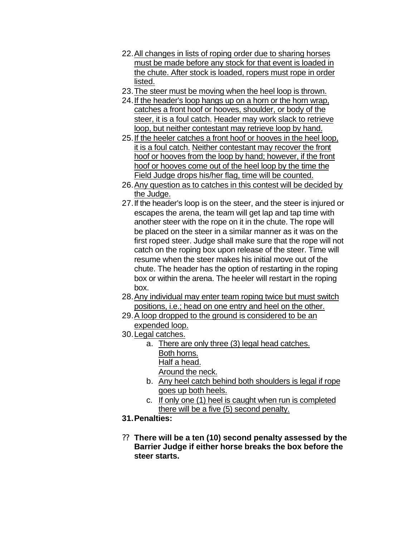- 22.All changes in lists of roping order due to sharing horses must be made before any stock for that event is loaded in the chute. After stock is loaded, ropers must rope in order listed.
- 23.The steer must be moving when the heel loop is thrown.
- 24.If the header's loop hangs up on a horn or the horn wrap, catches a front hoof or hooves, shoulder, or body of the steer, it is a foul catch. Header may work slack to retrieve loop, but neither contestant may retrieve loop by hand.
- 25.If the heeler catches a front hoof or hooves in the heel loop, it is a foul catch. Neither contestant may recover the front hoof or hooves from the loop by hand; however, if the front hoof or hooves come out of the heel loop by the time the Field Judge drops his/her flag, time will be counted.
- 26.Any question as to catches in this contest will be decided by the Judge.
- 27.If the header's loop is on the steer, and the steer is injured or escapes the arena, the team will get lap and tap time with another steer with the rope on it in the chute. The rope will be placed on the steer in a similar manner as it was on the first roped steer. Judge shall make sure that the rope will not catch on the roping box upon release of the steer. Time will resume when the steer makes his initial move out of the chute. The header has the option of restarting in the roping box or within the arena. The heeler will restart in the roping box.
- 28.Any individual may enter team roping twice but must switch positions, i.e.; head on one entry and heel on the other.
- 29.A loop dropped to the ground is considered to be an expended loop.
- 30.Legal catches.
	- a. There are only three (3) legal head catches. Both horns. Half a head. Around the neck.
	- b. Any heel catch behind both shoulders is legal if rope goes up both heels.
	- c. If only one (1) heel is caught when run is completed there will be a five (5) second penalty.
- **31.Penalties:**
- ?? **There will be a ten (10) second penalty assessed by the Barrier Judge if either horse breaks the box before the steer starts.**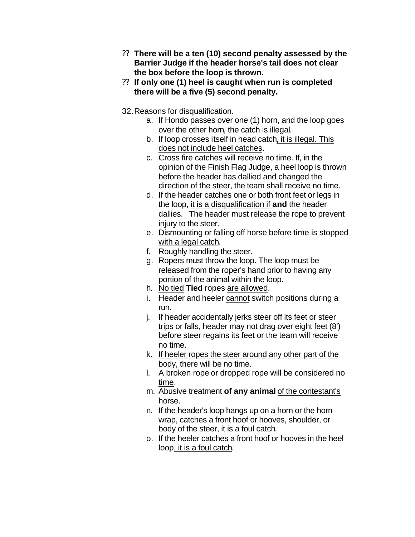- ?? **There will be a ten (10) second penalty assessed by the Barrier Judge if the header horse's tail does not clear the box before the loop is thrown.**
- ?? **If only one (1) heel is caught when run is completed there will be a five (5) second penalty.**
- 32.Reasons for disqualification.
	- a. If Hondo passes over one (1) horn, and the loop goes over the other horn, the catch is illegal.
	- b. If loop crosses itself in head catch, it is illegal. This does not include heel catches.
	- c. Cross fire catches will receive no time. If, in the opinion of the Finish Flag Judge, a heel loop is thrown before the header has dallied and changed the direction of the steer, the team shall receive no time.
	- d. If the header catches one or both front feet or legs in the loop, it is a disqualification if **and** the header dallies. The header must release the rope to prevent injury to the steer.
	- e. Dismounting or falling off horse before time is stopped with a legal catch.
	- f. Roughly handling the steer.
	- g. Ropers must throw the loop. The loop must be released from the roper's hand prior to having any portion of the animal within the loop.
	- h. No tied **Tied** ropes are allowed.
	- i. Header and heeler cannot switch positions during a run.
	- j. If header accidentally jerks steer off its feet or steer trips or falls, header may not drag over eight feet (8') before steer regains its feet or the team will receive no time.
	- k. If heeler ropes the steer around any other part of the body, there will be no time.
	- l. A broken rope or dropped rope will be considered no time.
	- m. Abusive treatment **of any animal** of the contestant's horse.
	- n. If the header's loop hangs up on a horn or the horn wrap, catches a front hoof or hooves, shoulder, or body of the steer, it is a foul catch.
	- o. If the heeler catches a front hoof or hooves in the heel loop, it is a foul catch.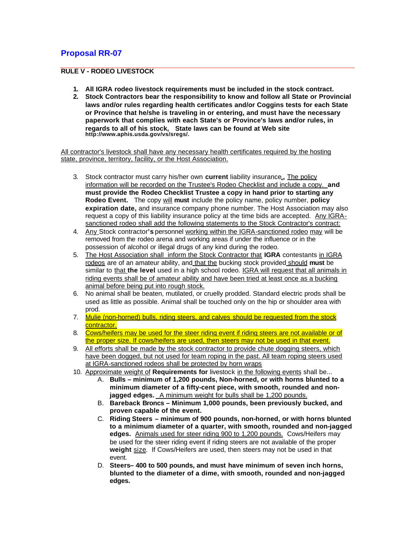### **Proposal RR-07**

#### **RULE V - RODEO LIVESTOCK**

- **1. All IGRA rodeo livestock requirements must be included in the stock contract.**
- **2. Stock Contractors bear the responsibility to know and follow all State or Provincial laws and/or rules regarding health certificates and/or Coggins tests for each State or Province that he/she is traveling in or entering, and must have the necessary paperwork that complies with each State's or Province's laws and/or rules, in regards to all of his stock, State laws can be found at Web site http://www.aphis.usda.gov/vs/sregs/.**

All contractor's livestock shall have any necessary health certificates required by the hosting state, province, territory, facility, or the Host Association.

- 3. Stock contractor must carry his/her own **current** liability insurance.**,** The policy information will be recorded on the Trustee's Rodeo Checklist and include a copy. **and must provide the Rodeo Checklist Trustee a copy in hand prior to starting any Rodeo Event.** The copy will **must** include the policy name, policy number, **policy expiration date,** and insurance company phone number. The Host Association may also request a copy of this liability insurance policy at the time bids are accepted. Any IGRAsanctioned rodeo shall add the following statements to the Stock Contractor's contract:
- 4. Any Stock contractor**'s** personnel working within the IGRA-sanctioned rodeo may will be removed from the rodeo arena and working areas if under the influence or in the possession of alcohol or illegal drugs of any kind during the rodeo.
- 5. The Host Association shall inform the Stock Contractor that **IGRA** contestants in IGRA rodeos are of an amateur ability, and that the bucking stock provided should **must** be similar to that **the level** used in a high school rodeo. IGRA will request that all animals in riding events shall be of amateur ability and have been tried at least once as a bucking animal before being put into rough stock.
- 6. No animal shall be beaten, mutilated, or cruelly prodded. Standard electric prods shall be used as little as possible. Animal shall be touched only on the hip or shoulder area with prod.
- 7. Mulie (non-horned) bulls, riding steers, and calves should be requested from the stock contractor.
- 8. Cows/heifers may be used for the steer riding event if riding steers are not available or of the proper size. If cows/heifers are used, then steers may not be used in that event.
- 9. All efforts shall be made by the stock contractor to provide chute dogging steers, which have been dogged, but not used for team roping in the past. All team roping steers used at IGRA-sanctioned rodeos shall be protected by horn wraps
- 10. Approximate weight of **Requirements for** livestock in the following events shall be...
	- A. **Bulls minimum of 1,200 pounds, Non-horned, or with horns blunted to a minimum diameter of a fifty-cent piece, with smooth, rounded and nonjagged edges.** A minimum weight for bulls shall be 1,200 pounds.
	- B. **Bareback Broncs Minimum 1,000 pounds, been previously bucked, and proven capable of the event.**
	- C. **Riding Steers minimum of 900 pounds, non-horned, or with horns blunted to a minimum diameter of a quarter, with smooth, rounded and non-jagged edges.** Animals used for steer riding 900 to 1,200 pounds. Cows/Heifers may be used for the steer riding event if riding steers are not available of the proper **weight** size. If Cows/Heifers are used, then steers may not be used in that event.
	- D. **Steers– 400 to 500 pounds, and must have minimum of seven inch horns, blunted to the diameter of a dime, with smooth, rounded and non-jagged edges.**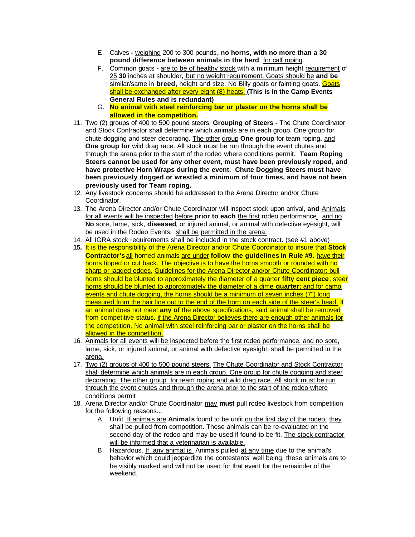- E. Calves **-** weighing 200 to 300 pounds**, no horns, with no more than a 30 pound difference between animals in the herd**. for calf roping.
- F. Common goats are to be of healthy stock with a minimum height requirement of 25 **30** inches at shoulder, but no weight requirement. Goats should be **and be** similar/same in **breed**, height and size. No Billy goats or fainting goats. Goats shall be exchanged after every eight (8) heats. **(This is in the Camp Events General Rules and is redundant)**
- G. **No animal with steel reinforcing bar or plaster on the horns shall be allowed in the competition.**
- 11. Two (2) groups of 400 to 500 pound steers. **Grouping of Steers -** The Chute Coordinator and Stock Contractor shall determine which animals are in each group. One group for chute dogging and steer decorating. The other group **One group** for team roping**.** and **One group for** wild drag race. All stock must be run through the event chutes and through the arena prior to the start of the rodeo where conditions permit. **Team Roping Steers cannot be used for any other event, must have been previously roped, and have protective Horn Wraps during the event. Chute Dogging Steers must have been previously dogged or wrestled a minimum of four times, and have not been previously used for Team roping.**
- 12. Any livestock concerns should be addressed to the Arena Director and/or Chute Coordinator.
- 13. The Arena Director and/or Chute Coordinator will inspect stock upon arrival**, and** Animals for all events will be inspected before **prior to each** the first rodeo performance,. and no **No** sore, lame, sick, **diseased**, or injured animal, or animal with defective eyesight, will be used in the Rodeo Events. shall be permitted in the arena.
- 14. All IGRA stock requirements shall be included in the stock contract. (see #1 above)
- **15.** It is the responsibility of the Arena Director and/or Chute Coordinator to insure that **Stock Contractor's** all horned animals are under **follow the guidelines in Rule #9**. have their horns tipped or cut back. The objective is to have the horns smooth or rounded with no sharp or jagged edges. Guidelines for the Arena Director and/or Chute Coordinator: bull horns should be blunted to approximately the diameter of a quarter **fifty cent piece**; steer horns should be blunted to approximately the diameter of a dime **quarter;** and for camp events and chute dogging, the horns should be a minimum of seven inches (7") long measured from the hair line out to the end of the horn on each side of the steer's head. If an animal does not meet **any of** the above specifications, said animal shall be removed from competitive status. if the Arena Director believes there are enough other animals for the competition. No animal with steel reinforcing bar or plaster on the horns shall be allowed in the competition.
- 16. Animals for all events will be inspected before the first rodeo performance, and no sore, lame, sick, or injured animal, or animal with defective eyesight, shall be permitted in the arena.
- 17. Two (2) groups of 400 to 500 pound steers. The Chute Coordinator and Stock Contractor shall determine which animals are in each group. One group for chute dogging and steer decorating. The other group for team roping and wild drag race. All stock must be run through the event chutes and through the arena prior to the start of the rodeo where conditions permit
- 18. Arena Director and/or Chute Coordinator may **must** pull rodeo livestock from competition for the following reasons...
	- A. Unfit. If animals are **Animals** found to be unfit on the first day of the rodeo, they shall be pulled from competition. These animals can be re-evaluated on the second day of the rodeo and may be used if found to be fit. The stock contractor will be informed that a veterinarian is available.
	- B. Hazardous. If any animal is Animals pulled at any time due to the animal's behavior which could jeopardize the contestants' well being, these animals are to be visibly marked and will not be used for that event for the remainder of the weekend.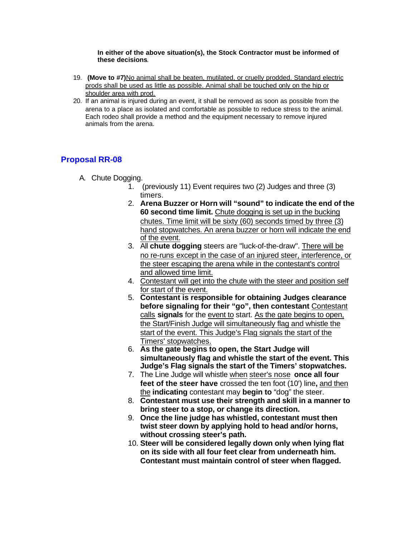#### **In either of the above situation(s), the Stock Contractor must be informed of these decisions**.

- 19. **(Move to #7)**No animal shall be beaten, mutilated, or cruelly prodded. Standard electric prods shall be used as little as possible. Animal shall be touched only on the hip or shoulder area with prod.
- 20. If an animal is injured during an event, it shall be removed as soon as possible from the arena to a place as isolated and comfortable as possible to reduce stress to the animal. Each rodeo shall provide a method and the equipment necessary to remove injured animals from the arena.

#### **Proposal RR-08**

- A. Chute Dogging.
	- 1. (previously 11) Event requires two (2) Judges and three (3) timers.
	- 2. **Arena Buzzer or Horn will "sound" to indicate the end of the 60 second time limit.** Chute dogging is set up in the bucking chutes. Time limit will be sixty (60) seconds timed by three (3) hand stopwatches. An arena buzzer or horn will indicate the end of the event.
	- 3. All **chute dogging** steers are "luck-of-the-draw". There will be no re-runs except in the case of an injured steer, interference, or the steer escaping the arena while in the contestant's control and allowed time limit.
	- 4. Contestant will get into the chute with the steer and position self for start of the event.
	- 5. **Contestant is responsible for obtaining Judges clearance before signaling for their "go", then contestant** Contestant calls **signals** for the event to start. As the gate begins to open, the Start/Finish Judge will simultaneously flag and whistle the start of the event. This Judge's Flag signals the start of the Timers' stopwatches.
	- 6. **As the gate begins to open, the Start Judge will simultaneously flag and whistle the start of the event. This Judge's Flag signals the start of the Timers' stopwatches.**
	- 7. The Line Judge will whistle when steer's nose **once all four feet of the steer have** crossed the ten foot (10') line**,** and then the **indicating** contestant may **begin to** "dog" the steer.
	- 8. **Contestant must use their strength and skill in a manner to bring steer to a stop, or change its direction.**
	- 9. **Once the line judge has whistled, contestant must then twist steer down by applying hold to head and/or horns, without crossing steer's path.**
	- 10. **Steer will be considered legally down only when lying flat on its side with all four feet clear from underneath him. Contestant must maintain control of steer when flagged.**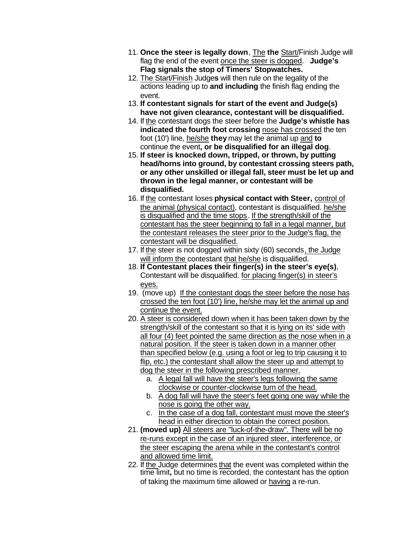- 11. **Once the steer is legally down**, The **the** Start/Finish Judge will flag the end of the event once the steer is dogged. **Judge's Flag signals the stop of Timers' Stopwatches.**
- 12. The Start/Finish Judge**s** will then rule on the legality of the actions leading up to **and including** the finish flag ending the event.
- 13. **If contestant signals for start of the event and Judge(s) have not given clearance, contestant will be disqualified.**
- 14. If the contestant dogs the steer before the **Judge's whistle has indicated the fourth foot crossing** nose has crossed the ten foot (10') line, he/she **they** may let the animal up and **to** continue the event**, or be disqualified for an illegal dog**.
- 15. **If steer is knocked down, tripped, or thrown, by putting head/horns into ground, by contestant crossing steers path, or any other unskilled or illegal fall, steer must be let up and thrown in the legal manner, or contestant will be disqualified.**
- 16. If the contestant loses **physical contact with Steer,** control of the animal (physical contact), contestant is disqualified. he/she is disqualified and the time stops. If the strength/skill of the contestant has the steer beginning to fall in a legal manner, but the contestant releases the steer prior to the Judge's flag, the contestant will be disqualified.
- 17. If the steer is not dogged within sixty (60) seconds, the Judge will inform the contestant that he/she is disqualified.
- 18. **If Contestant places their finger(s) in the steer's eye(s)**, Contestant will be disqualified. for placing finger(s) in steer's eyes.
- 19. (move up) If the contestant dogs the steer before the nose has crossed the ten foot (10') line, he/she may let the animal up and continue the event.
- 20. A steer is considered down when it has been taken down by the strength/skill of the contestant so that it is lying on its' side with all four (4) feet pointed the same direction as the nose when in a natural position. If the steer is taken down in a manner other than specified below (e.g. using a foot or leg to trip causing it to flip, etc.) the contestant shall allow the steer up and attempt to dog the steer in the following prescribed manner.
	- a. A legal fall will have the steer's legs following the same clockwise or counter-clockwise turn of the head.
	- b. A dog fall will have the steer's feet going one way while the nose is going the other way.
	- c. In the case of a dog fall, contestant must move the steer's head in either direction to obtain the correct position.
- 21. **(moved up)** All steers are "luck-of-the-draw". There will be no re-runs except in the case of an injured steer, interference, or the steer escaping the arena while in the contestant's control and allowed time limit.
- 22. If the Judge determines that the event was completed within the time limit**,** but no time is recorded, the contestant has the option of taking the maximum time allowed or having a re-run.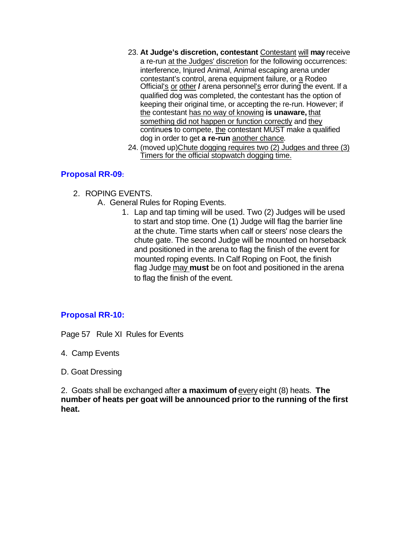- 23. **At Judge's discretion, contestant** Contestant will **may** receive a re-run at the Judges' discretion for the following occurrences: interference, Injured Animal, Animal escaping arena under contestant's control, arena equipment failure, or a Rodeo Official's or other **/** arena personnel's error during the event. If a qualified dog was completed, the contestant has the option of keeping their original time, or accepting the re-run. However; if the contestant has no way of knowing **is unaware,** that something did not happen or function correctly and they continue**s** to compete, the contestant MUST make a qualified dog in order to get **a re-run** another chance.
- 24. (moved up)Chute dogging requires two (2) Judges and three (3) Timers for the official stopwatch dogging time.

#### **Proposal RR-09:**

- 2. ROPING EVENTS.
	- A. General Rules for Roping Events.
		- 1. Lap and tap timing will be used. Two (2) Judges will be used to start and stop time. One (1) Judge will flag the barrier line at the chute. Time starts when calf or steers' nose clears the chute gate. The second Judge will be mounted on horseback and positioned in the arena to flag the finish of the event for mounted roping events. In Calf Roping on Foot, the finish flag Judge may **must** be on foot and positioned in the arena to flag the finish of the event.

### **Proposal RR-10:**

Page 57 Rule XI Rules for Events

- 4. Camp Events
- D. Goat Dressing

2. Goats shall be exchanged after **a maximum of** every eight (8) heats. **The number of heats per goat will be announced prior to the running of the first heat.**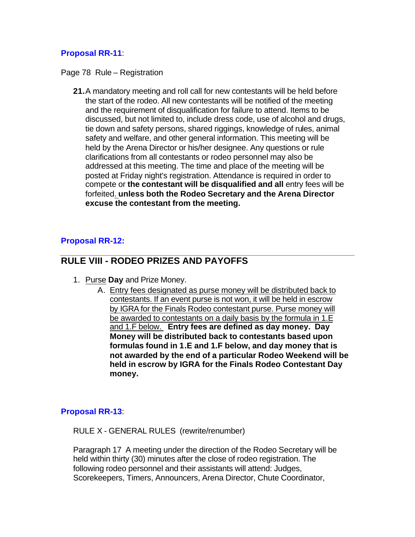### **Proposal RR-11**:

#### Page 78 Rule – Registration

**21.**A mandatory meeting and roll call for new contestants will be held before the start of the rodeo. All new contestants will be notified of the meeting and the requirement of disqualification for failure to attend. Items to be discussed, but not limited to, include dress code, use of alcohol and drugs, tie down and safety persons, shared riggings, knowledge of rules, animal safety and welfare, and other general information. This meeting will be held by the Arena Director or his/her designee. Any questions or rule clarifications from all contestants or rodeo personnel may also be addressed at this meeting. The time and place of the meeting will be posted at Friday night's registration. Attendance is required in order to compete or **the contestant will be disqualified and all** entry fees will be forfeited. **unless both the Rodeo Secretary and the Arena Director excuse the contestant from the meeting.**

#### **Proposal RR-12:**

## **RULE VIII - RODEO PRIZES AND PAYOFFS**

- 1. Purse **Day** and Prize Money.
	- A. Entry fees designated as purse money will be distributed back to contestants. If an event purse is not won, it will be held in escrow by IGRA for the Finals Rodeo contestant purse. Purse money will be awarded to contestants on a daily basis by the formula in 1.E and 1.F below. **Entry fees are defined as day money. Day Money will be distributed back to contestants based upon formulas found in 1.E and 1.F below, and day money that is not awarded by the end of a particular Rodeo Weekend will be held in escrow by IGRA for the Finals Rodeo Contestant Day money.**

#### **Proposal RR-13**:

RULE X - GENERAL RULES (rewrite/renumber)

Paragraph 17 A meeting under the direction of the Rodeo Secretary will be held within thirty (30) minutes after the close of rodeo registration. The following rodeo personnel and their assistants will attend: Judges, Scorekeepers, Timers, Announcers, Arena Director, Chute Coordinator,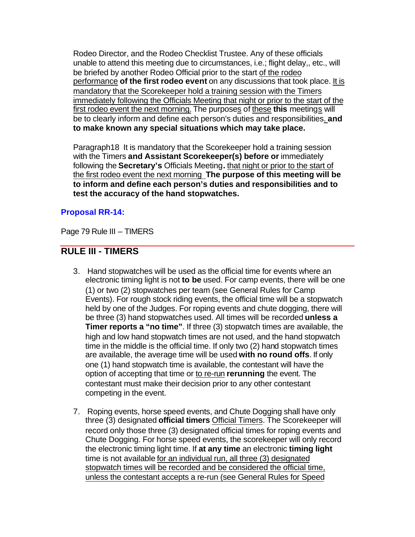Rodeo Director, and the Rodeo Checklist Trustee. Any of these officials unable to attend this meeting due to circumstances, i.e.; flight delay,, etc., will be briefed by another Rodeo Official prior to the start of the rodeo performance **of the first rodeo event** on any discussions that took place. It is mandatory that the Scorekeeper hold a training session with the Timers immediately following the Officials Meeting that night or prior to the start of the first rodeo event the next morning. The purposes of these **this** meetings will be to clearly inform and define each person's duties and responsibilities. **and to make known any special situations which may take place.**

Paragraph18 It is mandatory that the Scorekeeper hold a training session with the Timers **and Assistant Scorekeeper(s) before or** immediately following the **Secretary's** Officials Meeting**.** that night or prior to the start of the first rodeo event the next morning **The purpose of this meeting will be to inform and define each person's duties and responsibilities and to test the accuracy of the hand stopwatches.**

#### **Proposal RR-14:**

Page 79 Rule III – TIMERS

# **RULE III - TIMERS**

- 3. Hand stopwatches will be used as the official time for events where an electronic timing light is not **to be** used. For camp events, there will be one (1) or two (2) stopwatches per team (see General Rules for Camp Events). For rough stock riding events, the official time will be a stopwatch held by one of the Judges. For roping events and chute dogging, there will be three (3) hand stopwatches used. All times will be recorded **unless a Timer reports a "no time"**. If three (3) stopwatch times are available, the high and low hand stopwatch times are not used, and the hand stopwatch time in the middle is the official time. If only two (2) hand stopwatch times are available, the average time will be used **with no round offs**. If only one (1) hand stopwatch time is available, the contestant will have the option of accepting that time or to re-run **rerunning** the event. The contestant must make their decision prior to any other contestant competing in the event.
- 7. Roping events, horse speed events, and Chute Dogging shall have only three (3) designated **official timers** Official Timers. The Scorekeeper will record only those three (3) designated official times for roping events and Chute Dogging. For horse speed events, the scorekeeper will only record the electronic timing light time. If **at any time** an electronic **timing light** time is not available for an individual run, all three (3) designated stopwatch times will be recorded and be considered the official time, unless the contestant accepts a re-run (see General Rules for Speed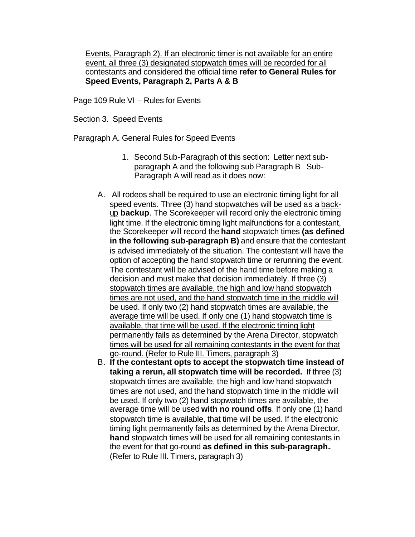Events, Paragraph 2). If an electronic timer is not available for an entire event, all three (3) designated stopwatch times will be recorded for all contestants and considered the official time **refer to General Rules for Speed Events, Paragraph 2, Parts A & B**

Page 109 Rule VI – Rules for Events

Section 3. Speed Events

Paragraph A. General Rules for Speed Events

- 1. Second Sub-Paragraph of this section: Letter next subparagraph A and the following sub Paragraph B Sub-Paragraph A will read as it does now:
- A. All rodeos shall be required to use an electronic timing light for all speed events. Three (3) hand stopwatches will be used as a backup **backup**. The Scorekeeper will record only the electronic timing light time. If the electronic timing light malfunctions for a contestant, the Scorekeeper will record the **hand** stopwatch times **(as defined in the following sub-paragraph B)** and ensure that the contestant is advised immediately of the situation. The contestant will have the option of accepting the hand stopwatch time or rerunning the event. The contestant will be advised of the hand time before making a decision and must make that decision immediately. If three (3) stopwatch times are available, the high and low hand stopwatch times are not used, and the hand stopwatch time in the middle will be used. If only two (2) hand stopwatch times are available, the average time will be used. If only one (1) hand stopwatch time is available, that time will be used. If the electronic timing light permanently fails as determined by the Arena Director, stopwatch times will be used for all remaining contestants in the event for that go-round. (Refer to Rule III. Timers, paragraph 3)
- B. **If the contestant opts to accept the stopwatch time instead of taking a rerun, all stopwatch time will be recorded.** If three (3) stopwatch times are available, the high and low hand stopwatch times are not used, and the hand stopwatch time in the middle will be used. If only two (2) hand stopwatch times are available, the average time will be used **with no round offs**. If only one (1) hand stopwatch time is available, that time will be used. If the electronic timing light permanently fails as determined by the Arena Director, **hand** stopwatch times will be used for all remaining contestants in the event for that go-round **as defined in this sub-paragraph.**. (Refer to Rule III. Timers, paragraph 3)